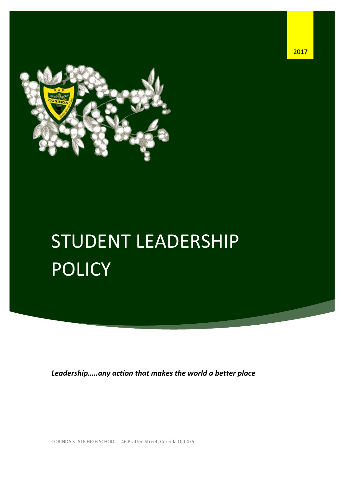

# STUDENT LEADERSHIP POLICY

*Leadership…..any action that makes the world a better place*

CORINDA STATE HIGH SCHOOL | 46 Pratten Street, Corinda Qld 475

Student Leadership Policy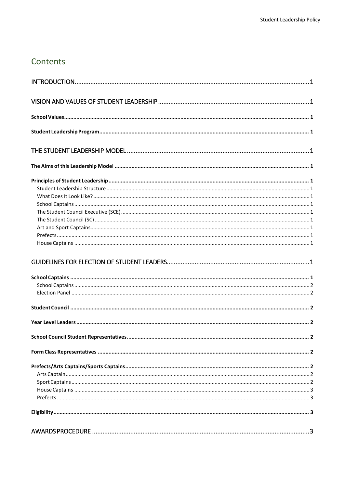# Contents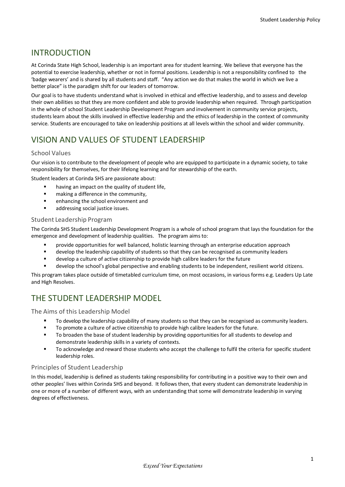# <span id="page-3-0"></span>INTRODUCTION

At Corinda State High School, leadership is an important area for student learning. We believe that everyone has the potential to exercise leadership, whether or not in formal positions. Leadership is not a responsibility confined to the 'badge wearers' and is shared by all students and staff. "Any action we do that makes the world in which we live a better place" is the paradigm shift for our leaders of tomorrow.

Our goal is to have students understand what is involved in ethical and effective leadership, and to assess and develop their own abilities so that they are more confident and able to provide leadership when required. Through participation in the whole of school Student Leadership Development Program and involvement in community service projects, students learn about the skills involved in effective leadership and the ethics of leadership in the context of community service. Students are encouraged to take on leadership positions at all levels within the school and wider community.

# <span id="page-3-1"></span>VISION AND VALUES OF STUDENT LEADERSHIP

## <span id="page-3-2"></span>School Values

Our vision is to contribute to the development of people who are equipped to participate in a dynamic society, to take responsibility for themselves, for their lifelong learning and for stewardship of the earth.

Student leaders at Corinda SHS are passionate about:

- having an impact on the quality of student life,
- **n** making a difference in the community,
- **EXECUTE:** enhancing the school environment and
- **addressing social justice issues.**

#### <span id="page-3-3"></span>Student Leadership Program

The Corinda SHS Student Leadership Development Program is a whole of school program that lays the foundation for the emergence and development of leadership qualities. The program aims to:

- provide opportunities for well balanced, holistic learning through an enterprise education approach
- develop the leadership capability of students so that they can be recognised as community leaders
- develop a culture of active citizenship to provide high calibre leaders for the future
- develop the school's global perspective and enabling students to be independent, resilient world citizens.

This program takes place outside of timetabled curriculum time, on most occasions, in various forms e.g. Leaders Up Late and High Resolves.

# <span id="page-3-4"></span>THE STUDENT LEADERSHIP MODEL

<span id="page-3-5"></span>The Aims of this Leadership Model

- To develop the leadership capability of many students so that they can be recognised as community leaders.
- To promote a culture of active citizenship to provide high calibre leaders for the future.
- To broaden the base of student leadership by providing opportunities for all students to develop and demonstrate leadership skills in a variety of contexts.
- To acknowledge and reward those students who accept the challenge to fulfil the criteria for specific student leadership roles.

## <span id="page-3-6"></span>Principles of Student Leadership

In this model, leadership is defined as students taking responsibility for contributing in a positive way to their own and other peoples' lives within Corinda SHS and beyond. It follows then, that every student can demonstrate leadership in one or more of a number of different ways, with an understanding that some will demonstrate leadership in varying degrees of effectiveness.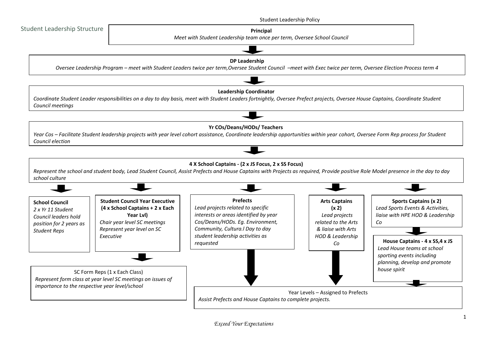<span id="page-4-0"></span>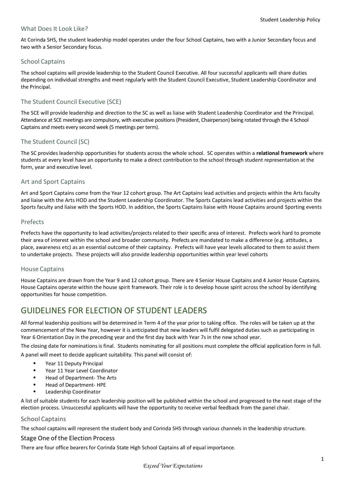#### <span id="page-5-0"></span>What Does It Look Like?

At Corinda SHS, the student leadership model operates under the four School Captains, two with a Junior Secondary focus and two with a Senior Secondary focus.

#### <span id="page-5-1"></span>School Captains

The school captains will provide leadership to the Student Council Executive. All four successful applicants will share duties depending on individual strengths and meet regularly with the Student Council Executive, Student Leadership Coordinator and the Principal.

## <span id="page-5-2"></span>The Student Council Executive (SCE)

The SCE will provide leadership and direction to the SC as well as liaise with Student Leadership Coordinator and the Principal. Attendance at SCE meetings are compulsory, with executive positions (President, Chairperson) being rotated through the 4 School Captains and meets every second week (5 meetings per term).

#### <span id="page-5-3"></span>The Student Council (SC)

The SC provides leadership opportunities for students across the whole school. SC operates within a **relational framework** where students at every level have an opportunity to make a direct contribution to the school through student representation at the form, year and executive level.

#### <span id="page-5-4"></span>Art and Sport Captains

Art and Sport Captains come from the Year 12 cohort group. The Art Captains lead activities and projects within the Arts faculty and liaise with the Arts HOD and the Student Leadership Coordinator. The Sports Captains lead activities and projects within the Sports faculty and liaise with the Sports HOD. In addition, the Sports Captains liaise with House Captains around Sporting events

#### <span id="page-5-5"></span>Prefects

Prefects have the opportunity to lead activities/projects related to their specific area of interest. Prefects work hard to promote their area of interest within the school and broader community. Prefects are mandated to make a difference (e.g. attitudes, a place, awareness etc) as an essential outcome of their captaincy. Prefects will have year levels allocated to them to assist them to undertake projects. These projects will also provide leadership opportunities within year level cohorts

#### <span id="page-5-6"></span>House Captains

House Captains are drawn from the Year 9 and 12 cohort group. There are 4 Senior House Captains and 4 Junior House Captains. House Captains operate within the house spirit framework. Their role is to develop house spirit across the school by identifying opportunities for house competition.

# <span id="page-5-7"></span>GUIDELINES FOR ELECTION OF STUDENT LEADERS

All formal leadership positions will be determined in Term 4 of the year prior to taking office. The roles will be taken up at the commencement of the New Year, however it is anticipated that new leaders will fulfil delegated duties such as participating in Year 6 Orientation Day in the preceding year and the first day back with Year 7s in the new school year.

The closing date for nominations is final. Students nominating for all positions must complete the official application form in full.

A panel will meet to decide applicant suitability. This panel will consist of:

- **Paramer 11 Deputy Principal**
- Year 11 Year Level Coordinator
- **Head of Department- The Arts**
- Head of Department- HPE
- Leadership Coordinator

A list of suitable students for each leadership position will be published within the school and progressed to the next stage of the election process. Unsuccessful applicants will have the opportunity to receive verbal feedback from the panel chair.

#### <span id="page-5-8"></span>School Captains

The school captains will represent the student body and Corinda SHS through various channels in the leadership structure.

#### Stage One of the Election Process

There are four office bearers for Corinda State High School Captains all of equal importance.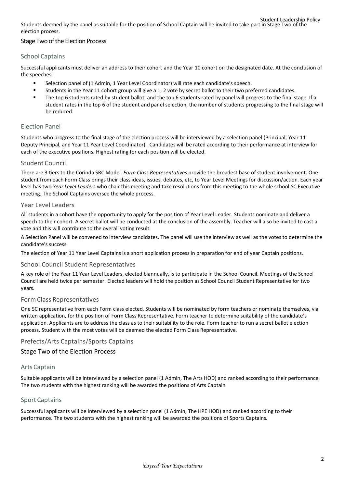Student Leadership Policy Students deemed by the panel as suitable for the position of School Captain will be invited to take part in Stage Two of the election process.

## Stage Two of the Election Process

## <span id="page-6-0"></span>School Captains

Successful applicants must deliver an address to their cohort and the Year 10 cohort on the designated date. At the conclusion of the speeches:

- Selection panel of (1 Admin, 1 Year Level Coordinator) will rate each candidate's speech.
- Students in the Year 11 cohort group will give a 1, 2 vote by secret ballot to their two preferred candidates.
- The top 6 students rated by student ballot, and the top 6 students rated by panel will progress to the final stage. If a student rates in the top 6 of the student and panel selection, the number of students progressing to the final stage will be reduced.

## <span id="page-6-1"></span>Election Panel

Students who progress to the final stage of the election process will be interviewed by a selection panel (Principal, Year 11 Deputy Principal, and Year 11 Year Level Coordinator). Candidates will be rated according to their performance at interview for each of the executive positions. Highest rating for each position will be elected.

#### <span id="page-6-2"></span>Student Council

There are 3 tiers to the Corinda SRC Model. *Form Class Representatives* provide the broadest base of student involvement. One student from each Form Class brings their class ideas, issues, debates, etc, to Year Level Meetings for discussion/action. Each year level has two *Year Level Leaders* who chair this meeting and take resolutions from this meeting to the whole school SC Executive meeting. The School Captains oversee the whole process.

#### <span id="page-6-3"></span>Year Level Leaders

All students in a cohort have the opportunity to apply for the position of Year Level Leader. Students nominate and deliver a speech to their cohort. A secret ballot will be conducted at the conclusion of the assembly. Teacher will also be invited to cast a vote and this will contribute to the overall voting result.

A Selection Panel will be convened to interview candidates. The panel will use the interview as well as the votes to determine the candidate's success.

The election of Year 11 Year Level Captains is a short application process in preparation for end of year Captain positions.

#### <span id="page-6-4"></span>School Council Student Representatives

A key role of the Year 11 Year Level Leaders, elected biannually, is to participate in the School Council. Meetings of the School Council are held twice per semester. Elected leaders will hold the position as School Council Student Representative for two years.

#### <span id="page-6-5"></span>Form Class Representatives

One SC representative from each Form class elected. Students will be nominated by form teachers or nominate themselves, via written application, for the position of Form Class Representative. Form teacher to determine suitability of the candidate's application. Applicants are to address the class as to their suitability to the role. Form teacher to run a secret ballot election process. Student with the most votes will be deemed the elected Form Class Representative.

## <span id="page-6-6"></span>Prefects/Arts Captains/Sports Captains

#### Stage Two of the Election Process

#### <span id="page-6-7"></span>Arts Captain

Suitable applicants will be interviewed by a selection panel (1 Admin, The Arts HOD) and ranked according to their performance. The two students with the highest ranking will be awarded the positions of Arts Captain

#### <span id="page-6-8"></span>Sport Captains

Successful applicants will be interviewed by a selection panel (1 Admin, The HPE HOD) and ranked according to their performance. The two students with the highest ranking will be awarded the positions of Sports Captains.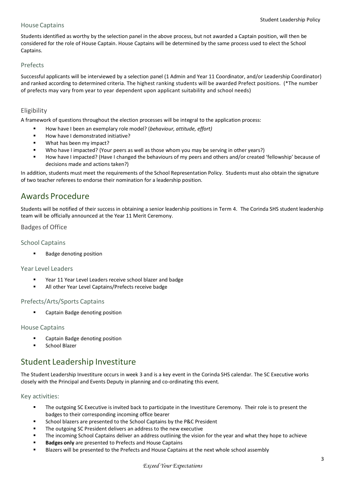#### <span id="page-7-0"></span>House Captains

Students identified as worthy by the selection panel in the above process, but not awarded a Captain position, will then be considered for the role of House Captain. House Captains will be determined by the same process used to elect the School Captains.

### <span id="page-7-1"></span>Prefects

Successful applicants will be interviewed by a selection panel (1 Admin and Year 11 Coordinator, and/or Leadership Coordinator) and ranked according to determined criteria. The highest ranking students will be awarded Prefect positions. (\*The number of prefects may vary from year to year dependent upon applicant suitability and school needs)

## <span id="page-7-2"></span>Eligibility

A framework of questions throughout the election processes will be integral to the application process:

- How have I been an exemplary role model? (*behaviour, attitude, effort)*
- $How$  have I demonstrated initiative?
- What has been my impact?
- Who have I impacted? (Your peers as well as those whom you may be serving in other years?)
- How have I impacted? (Have I changed the behaviours of my peers and others and/or created 'fellowship' because of decisions made and actions taken?)

In addition, students must meet the requirements of the School Representation Policy. Students must also obtain the signature of two teacher referees to endorse their nomination for a leadership position.

# <span id="page-7-3"></span>Awards Procedure

Students will be notified of their success in obtaining a senior leadership positions in Term 4. The Corinda SHS student leadership team will be officially announced at the Year 11 Merit Ceremony.

## <span id="page-7-4"></span>Badges of Office

#### <span id="page-7-5"></span>School Captains

**Badge denoting position** 

#### <span id="page-7-6"></span>Year Level Leaders

- Year 11 Year Level Leaders receive school blazer and badge
- **All other Year Level Captains/Prefects receive badge**

#### <span id="page-7-7"></span>Prefects/Arts/Sports Captains

**EXEC** Captain Badge denoting position

#### <span id="page-7-8"></span>House Captains

- Captain Badge denoting position
- School Blazer

# <span id="page-7-9"></span>Student Leadership Investiture

The Student Leadership Investiture occurs in week 3 and is a key event in the Corinda SHS calendar. The SC Executive works closely with the Principal and Events Deputy in planning and co-ordinating this event.

<span id="page-7-10"></span>Key activities:

- "The outgoing SC Executive is invited back to participate in the Investiture Ceremony. Their role is to present the badges to their corresponding incoming office bearer
- School blazers are presented to the School Captains by the P&C President
- The outgoing SC President delivers an address to the new executive
- The incoming School Captains deliver an address outlining the vision for the year and what they hope to achieve
- **Badges only** are presented to Prefects and House Captains
- Blazers will be presented to the Prefects and House Captains at the next whole school assembly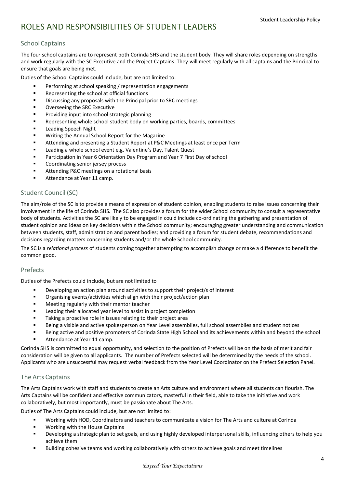# <span id="page-8-0"></span>ROLES AND RESPONSIBILITIES OF STUDENT LEADERS

## <span id="page-8-1"></span>School Captains

The four school captains are to represent both Corinda SHS and the student body. They will share roles depending on strengths and work regularly with the SC Executive and the Project Captains. They will meet regularly with all captains and the Principal to ensure that goals are being met.

Duties of the School Captains could include, but are not limited to:

- Performing at school speaking / representation engagements
- **Representing the school at official functions**
- **EXECUSE 10** Discussing any proposals with the Principal prior to SRC meetings
- Overseeing the SRC Executive
- Providing input into school strategic planning
- **Representing whole school student body on working parties, boards, committees**
- Leading Speech Night
- **Writing the Annual School Report for the Magazine**
- **EXECT** Attending and presenting a Student Report at P&C Meetings at least once per Term
- Leading a whole school event e.g. Valentine's Day, Talent Quest
- Participation in Year 6 Orientation Day Program and Year 7 First Day of school
- Coordinating senior jersey process
- Attending P&C meetings on a rotational basis
- Attendance at Year 11 camp.

## <span id="page-8-2"></span>Student Council (SC)

The aim/role of the SC is to provide a means of expression of student opinion, enabling students to raise issues concerning their involvement in the life of Corinda SHS. The SC also provides a forum for the wider School community to consult a representative body of students. Activities the SC are likely to be engaged in could include co-ordinating the gathering and presentation of student opinion and ideas on key decisions within the School community; encouraging greater understanding and communication between students, staff, administration and parent bodies; and providing a forum for student debate, recommendations and decisions regarding matters concerning students and/or the whole School community.

The SC is a *relational process* of students coming together attempting to accomplish change or make a difference to benefit the common good.

#### <span id="page-8-3"></span>Prefects

Duties of the Prefects could include, but are not limited to

- Developing an action plan around activities to support their project/s of interest
- Organising events/activities which align with their project/action plan
- **EXEDER** Meeting regularly with their mentor teacher
- **EXECT** Leading their allocated year level to assist in project completion
- **Taking a proactive role in issues relating to their project area**
- Being a visible and active spokesperson on Year Level assemblies, full school assemblies and student notices
- Being active and positive promoters of Corinda State High School and its achievements within and beyond the school **Attendance at Year 11 camp.**

Corinda SHS is committed to equal opportunity, and selection to the position of Prefects will be on the basis of merit and fair consideration will be given to all applicants. The number of Prefects selected will be determined by the needs of the school. Applicants who are unsuccessful may request verbal feedback from the Year Level Coordinator on the Prefect Selection Panel.

## <span id="page-8-4"></span>The Arts Captains

The Arts Captains work with staff and students to create an Arts culture and environment where all students can flourish. The Arts Captains will be confident and effective communicators, masterful in their field, able to take the initiative and work collaboratively, but most importantly, must be passionate about The Arts.

Duties of The Arts Captains could include, but are not limited to:

- Working with HOD, Coordinators and teachers to communicate a vision for The Arts and culture at Corinda
- **Working with the House Captains**
- Developing a strategic plan to set goals, and using highly developed interpersonal skills, influencing others to help you achieve them
- Building cohesive teams and working collaboratively with others to achieve goals and meet timelines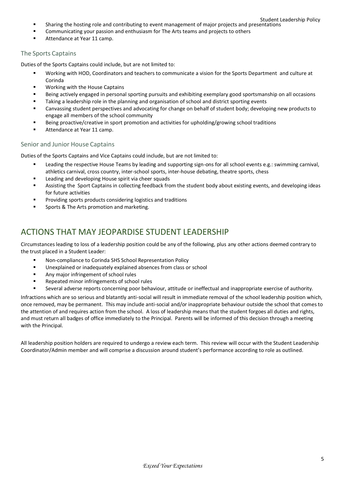- Sharing the hosting role and contributing to event management of major projects and presentations
- **EXECOMMUNICATED STATE:** Communicating your passion and enthusiasm for The Arts teams and projects to others
- Attendance at Year 11 camp.

## <span id="page-9-0"></span>The Sports Captains

Duties of the Sports Captains could include, but are not limited to:

- Working with HOD, Coordinators and teachers to communicate a vision for the Sports Department and culture at Corinda
- **Working with the House Captains**
- Being actively engaged in personal sporting pursuits and exhibiting exemplary good sportsmanship on all occasions
- **Taking a leadership role in the planning and organisation of school and district sporting events**
- Canvassing student perspectives and advocating for change on behalf of student body; developing new products to engage all members of the school community
- **Being proactive/creative in sport promotion and activities for upholding/growing school traditions**
- Attendance at Year 11 camp.

#### <span id="page-9-1"></span>Senior and Junior House Captains

Duties of the Sports Captains and Vice Captains could include, but are not limited to:

- Leading the respective House Teams by leading and supporting sign-ons for all school events e.g.: swimming carnival, athletics carnival, cross country, inter-school sports, inter-house debating, theatre sports, chess
- **EXEC** Leading and developing House spirit via cheer squads
- Assisting the Sport Captains in collecting feedback from the student body about existing events, and developing ideas for future activities
- Providing sports products considering logistics and traditions
- Sports & The Arts promotion and marketing.

# <span id="page-9-2"></span>ACTIONS THAT MAY JEOPARDISE STUDENT LEADERSHIP

Circumstances leading to loss of a leadership position could be any of the following, plus any other actions deemed contrary to the trust placed in a Student Leader:

- Non-compliance to Corinda SHS School Representation Policy
- **Unexplained or inadequately explained absences from class or school**
- **Any major infringement of school rules**
- Repeated minor infringements of school rules
- Several adverse reports concerning poor behaviour, attitude or ineffectual and inappropriate exercise of authority.

Infractions which are so serious and blatantly anti-social will result in immediate removal of the school leadership position which, once removed, may be permanent. This may include anti-social and/or inappropriate behaviour outside the school that comes to the attention of and requires action from the school. A loss of leadership means that the student forgoes all duties and rights, and must return all badges of office immediately to the Principal. Parents will be informed of this decision through a meeting with the Principal.

All leadership position holders are required to undergo a review each term. This review will occur with the Student Leadership Coordinator/Admin member and will comprise a discussion around student's performance according to role as outlined.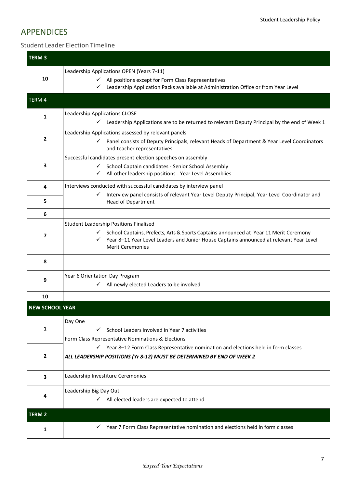# <span id="page-11-0"></span>APPENDICES

## <span id="page-11-1"></span>Student Leader Election Timeline

| <b>TERM 3</b>          |                                                                                                                                                                                                                  |
|------------------------|------------------------------------------------------------------------------------------------------------------------------------------------------------------------------------------------------------------|
| 10                     | Leadership Applications OPEN (Years 7-11)<br>All positions except for Form Class Representatives                                                                                                                 |
|                        | Leadership Application Packs available at Administration Office or from Year Level<br>✓                                                                                                                          |
| TERM 4                 |                                                                                                                                                                                                                  |
| $\mathbf{1}$           | Leadership Applications CLOSE                                                                                                                                                                                    |
|                        | $\checkmark$<br>Leadership Applications are to be returned to relevant Deputy Principal by the end of Week 1                                                                                                     |
| $\overline{2}$         | Leadership Applications assessed by relevant panels                                                                                                                                                              |
|                        | Panel consists of Deputy Principals, relevant Heads of Department & Year Level Coordinators<br>and teacher representatives                                                                                       |
|                        | Successful candidates present election speeches on assembly                                                                                                                                                      |
| 3                      | School Captain candidates - Senior School Assembly<br>$\checkmark$<br>All other leadership positions - Year Level Assemblies<br>✓                                                                                |
| 4                      | Interviews conducted with successful candidates by interview panel                                                                                                                                               |
| 5                      | Interview panel consists of relevant Year Level Deputy Principal, Year Level Coordinator and<br>✓<br>Head of Department                                                                                          |
| 6                      |                                                                                                                                                                                                                  |
|                        | Student Leadership Positions Finalised                                                                                                                                                                           |
| 7                      | School Captains, Prefects, Arts & Sports Captains announced at Year 11 Merit Ceremony<br>Year 8-11 Year Level Leaders and Junior House Captains announced at relevant Year Level<br>✓<br><b>Merit Ceremonies</b> |
| 8                      |                                                                                                                                                                                                                  |
| 9                      | Year 6 Orientation Day Program                                                                                                                                                                                   |
|                        | All newly elected Leaders to be involved<br>$\checkmark$                                                                                                                                                         |
| 10                     |                                                                                                                                                                                                                  |
| <b>NEW SCHOOL YEAR</b> |                                                                                                                                                                                                                  |
|                        | Day One                                                                                                                                                                                                          |
| 1                      | School Leaders involved in Year 7 activities<br>✓                                                                                                                                                                |
|                        | Form Class Representative Nominations & Elections                                                                                                                                                                |
| $\overline{2}$         | $\checkmark$ Year 8-12 Form Class Representative nomination and elections held in form classes<br>ALL LEADERSHIP POSITIONS (Yr 8-12) MUST BE DETERMINED BY END OF WEEK 2                                         |
|                        |                                                                                                                                                                                                                  |
| 3                      | Leadership Investiture Ceremonies                                                                                                                                                                                |
| 4                      | Leadership Big Day Out                                                                                                                                                                                           |
|                        | All elected leaders are expected to attend<br>✓                                                                                                                                                                  |
| <b>TERM 2</b>          |                                                                                                                                                                                                                  |
| 1                      | Year 7 Form Class Representative nomination and elections held in form classes                                                                                                                                   |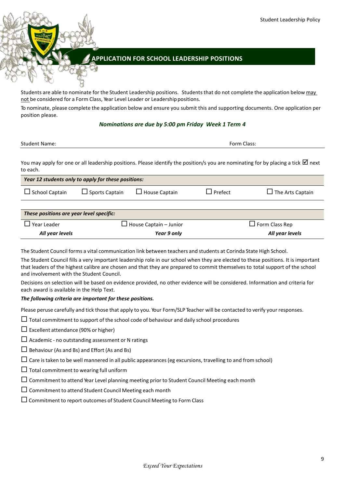## <span id="page-13-0"></span>**APPLICATION FOR SCHOOL LEADERSHIP POSITIONS**

Students are able to nominate for the Student Leadership positions. Students that do not complete the application below may not be considered for a Form Class, Year Level Leader or Leadershippositions.

To nominate, please complete the application below and ensure you submit this and supporting documents. One application per position please.

#### *Nominations are due by 5:00 pm Friday Week 1 Term 4*

| <b>Student Name:</b> | Form Class: |
|----------------------|-------------|
|                      |             |

You may apply for one or all leadership positions. Please identify the position/s you are nominating for by placing a tick  $\Box$  next to each.

| Year 12 students only to apply for these positions: |                       |                      |                |                         |
|-----------------------------------------------------|-----------------------|----------------------|----------------|-------------------------|
| $\Box$ School Captain                               | $\Box$ Sports Captain | $\Box$ House Captain | $\Box$ Prefect | $\Box$ The Arts Captain |
|                                                     |                       |                      |                |                         |

| These positions are year level specific: |                               |                       |  |
|------------------------------------------|-------------------------------|-----------------------|--|
| $\Box$ Year Leader                       | $\Box$ House Captain – Junior | $\Box$ Form Class Rep |  |
| All year levels                          | Year 9 only                   | All year levels       |  |

The Student Council forms a vital communication link between teachers and students at Corinda State High School.

The Student Council fills a very important leadership role in our school when they are elected to these positions. It is important that leaders of the highest calibre are chosen and that they are prepared to commit themselves to total support of the school and involvement with the Student Council.

Decisions on selection will be based on evidence provided, no other evidence will be considered. Information and criteria for each award is available in the Help Text.

#### *The following criteria are important for these positions.*

Please peruse carefully and tick those that apply to you. Your Form/SLP Teacher will be contacted to verify your responses.

 $\Box$  Total commitment to support of the school code of behaviour and daily school procedures

- $\square$  Excellent attendance (90% or higher)
- $\Box$  Academic no outstanding assessment or N ratings
- $\Box$  Behaviour (As and Bs) and Effort (As and Bs)
- $\Box$  Care is taken to be well mannered in all public appearances (eg excursions, travelling to and from school)
- $\Box$  Total commitment to wearing full uniform
- $\Box$  Commitment to attend Year Level planning meeting prior to Student Council Meeting each month
- $\square$  Commitment to attend Student Council Meeting each month
- $\Box$  Commitment to report outcomes of Student Council Meeting to Form Class